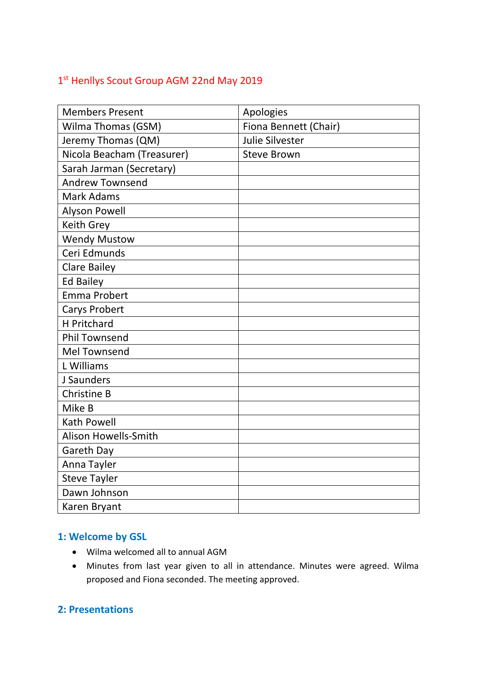# 1st Henllys Scout Group AGM 22nd May 2019

| <b>Members Present</b>     | Apologies             |
|----------------------------|-----------------------|
| Wilma Thomas (GSM)         | Fiona Bennett (Chair) |
| Jeremy Thomas (QM)         | Julie Silvester       |
| Nicola Beacham (Treasurer) | <b>Steve Brown</b>    |
| Sarah Jarman (Secretary)   |                       |
| <b>Andrew Townsend</b>     |                       |
| <b>Mark Adams</b>          |                       |
| <b>Alyson Powell</b>       |                       |
| <b>Keith Grey</b>          |                       |
| <b>Wendy Mustow</b>        |                       |
| Ceri Edmunds               |                       |
| <b>Clare Bailey</b>        |                       |
| <b>Ed Bailey</b>           |                       |
| <b>Emma Probert</b>        |                       |
| Carys Probert              |                       |
| <b>H</b> Pritchard         |                       |
| <b>Phil Townsend</b>       |                       |
| <b>Mel Townsend</b>        |                       |
| L Williams                 |                       |
| J Saunders                 |                       |
| <b>Christine B</b>         |                       |
| Mike B                     |                       |
| <b>Kath Powell</b>         |                       |
| Alison Howells-Smith       |                       |
| Gareth Day                 |                       |
| Anna Tayler                |                       |
| <b>Steve Tayler</b>        |                       |
| Dawn Johnson               |                       |
| Karen Bryant               |                       |

## **1: Welcome by GSL**

- Wilma welcomed all to annual AGM
- Minutes from last year given to all in attendance. Minutes were agreed. Wilma proposed and Fiona seconded. The meeting approved.

## **2: Presentations**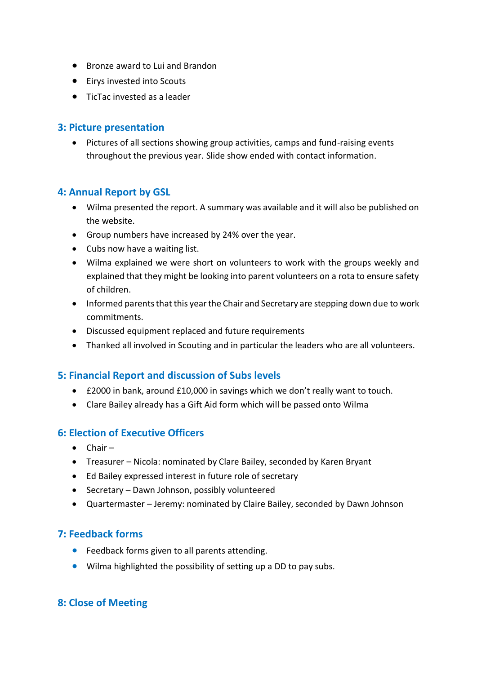- Bronze award to Lui and Brandon
- Eirys invested into Scouts
- TicTac invested as a leader

#### **3: Picture presentation**

• Pictures of all sections showing group activities, camps and fund-raising events throughout the previous year. Slide show ended with contact information.

#### **4: Annual Report by GSL**

- Wilma presented the report. A summary was available and it will also be published on the website.
- Group numbers have increased by 24% over the year.
- Cubs now have a waiting list.
- Wilma explained we were short on volunteers to work with the groups weekly and explained that they might be looking into parent volunteers on a rota to ensure safety of children.
- Informed parents that this year the Chair and Secretary are stepping down due to work commitments.
- Discussed equipment replaced and future requirements
- Thanked all involved in Scouting and in particular the leaders who are all volunteers.

## **5: Financial Report and discussion of Subs levels**

- £2000 in bank, around £10,000 in savings which we don't really want to touch.
- Clare Bailey already has a Gift Aid form which will be passed onto Wilma

#### **6: Election of Executive Officers**

- Chair –
- Treasurer Nicola: nominated by Clare Bailey, seconded by Karen Bryant
- Ed Bailey expressed interest in future role of secretary
- Secretary Dawn Johnson, possibly volunteered
- Quartermaster Jeremy: nominated by Claire Bailey, seconded by Dawn Johnson

## **7: Feedback forms**

- Feedback forms given to all parents attending.
- Wilma highlighted the possibility of setting up a DD to pay subs.

## **8: Close of Meeting**